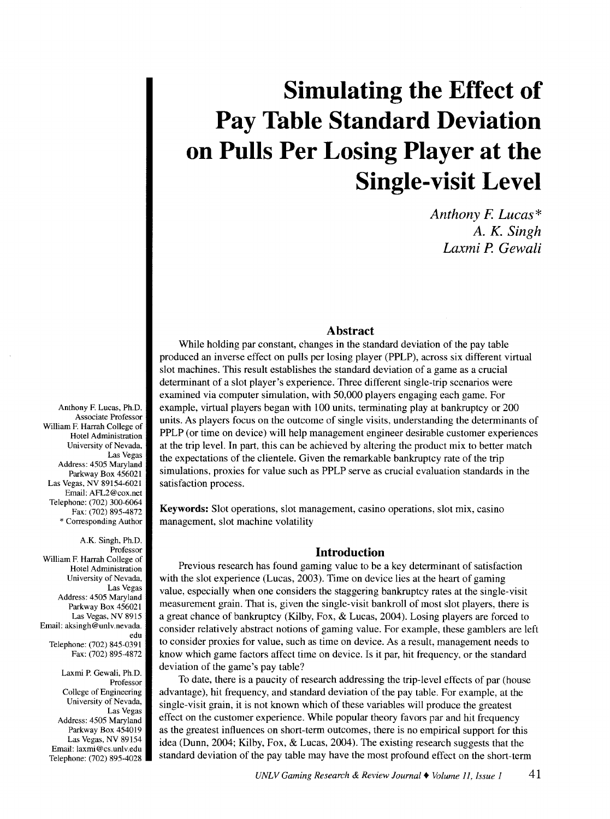# **Simulating the Effect of Pay Table Standard Deviation on Pulls Per Losing Player at the Single-visit Level**

*Anthony* F. *Lucas\* A. K. Singh Laxmi* P. *Gewali* 

# **Abstract**

While holding par constant, changes in the standard deviation of the pay table produced an inverse effect on pulls per losing player (PPLP), across six different virtual slot machines. This result establishes the standard deviation of a game as a crucial determinant of a slot player's experience. Three different single-trip scenarios were examined via computer simulation, with 50,000 players engaging each game. For example, virtual players began with 100 units, terminating play at bankruptcy or 200 units. As players focus on the outcome of single visits, understanding the determinants of PPLP (or time on device) will help management engineer desirable customer experiences at the trip level. In part, this can be achieved by altering the product mix to better match the expectations of the clientele. Given the remarkable bankruptcy rate of the trip simulations, proxies for value such as PPLP serve as crucial evaluation standards in the satisfaction process.

Keywords: Slot operations, slot management, casino operations, slot mix, casino management, slot machine volatility

# **Introduction**

Previous research has found gaming value to be a key determinant of satisfaction with the slot experience (Lucas, 2003). Time on device lies at the heart of gaming value, especially when one considers the staggering bankruptcy rates at the single-visit measurement grain. That is, given the single-visit bankroll of most slot players, there is a great chance of bankruptcy (Kilby, Fox, & Lucas, 2004 ). Losing players are forced to consider relatively abstract notions of gaming value. For example, these gamblers are left to consider proxies for value, such as time on device. As a result, management needs to know which game factors affect time on device. Is it par, hit frequency, or the standard deviation of the game's pay table?

To date, there is a paucity of research addressing the trip-level effects of par (house advantage), hit frequency, and standard deviation of the pay table. For example, at the single-visit grain, it is not known which of these variables will produce the greatest effect on the customer experience. While popular theory favors par and hit frequency as the greatest influences on short-term outcomes, there is no empirical support for this idea (Dunn, 2004; Kilby, Fox, & Lucas, 2004). The existing research suggests that the standard deviation of the pay table may have the most profound effect on the short-term

Anthony F. Lucas, Ph.D. Associate Professor William F. Harrah College of Hotel Administration University of Nevada, Las Vegas Address: 4505 Maryland Parkway Box 456021 Las Vegas, NV 89154-6021 Email: AFL2@cox.net Telephone: (702) 300-6064 Fax: (702) 895-4872 \* Corresponding Author

A.K. Singh, Ph.D. Professor William F. Harrah College of Hotel Administration University of Nevada, Las Vegas Address: 4505 Maryland Parkway Box 456021 Las Vegas, NV 8915 Email: aksingh @unlv.nevada. edu Telephone: (702) 845-0391 Fax: (702) 895-4872

Laxmi P. Gewali, Ph.D. Professor College of Engineering University of Nevada, Las Vegas Address: 4505 Maryland Parkway Box 454019 Las Vegas, NV 89154 Email: laxmi@cs.unlv.edu Telephone: (702) 895-4028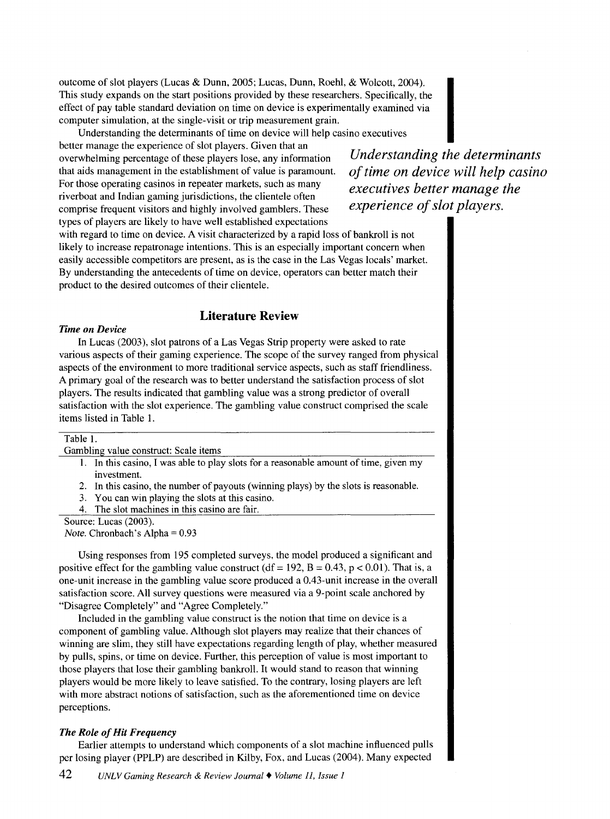outcome of slot players (Lucas & Dunn, 2005; Lucas, Dunn, Roehl, & Wolcott, 2004). This study expands on the start positions provided by these researchers. Specifically, the effect of pay table standard deviation on time on device is experimentally examined via computer simulation, at the single-visit or trip measurement grain.

Understanding the determinants of time on device will help casino executives

better manage the experience of slot players. Given that an overwhelming percentage of these players lose, any information that aids management in the establishment of value is paramount. For those operating casinos in repeater markets, such as many riverboat and Indian gaming jurisdictions, the clientele often comprise frequent visitors and highly involved gamblers. These types of players are likely to have well established expectations

*Understanding the determinants of time on device will help casino executives better manage the experience of slot players.* 

with regard to time on device. A visit characterized by a rapid loss of bankroll is not likely to increase repatronage intentions. This is an especially important concern when easily accessible competitors are present, as is the case in the Las Vegas locals' market. By understanding the antecedents of time on device, operators can better match their product to the desired outcomes of their clientele.

# **Literature Review**

# *Time on Device*

In Lucas (2003), slot patrons of a Las Vegas Strip property were asked to rate various aspects of their gaming experience. The scope of the survey ranged from physical aspects of the environment to more traditional service aspects, such as staff friendliness. A primary goal of the research was to better understand the satisfaction process of slot players. The results indicated that gambling value was a strong predictor of overall satisfaction with the slot experience. The gambling value construct comprised the scale items listed in Table 1.

| Table 1.                                                                              |  |
|---------------------------------------------------------------------------------------|--|
| Gambling value construct: Scale items                                                 |  |
| 1. In this casino, I was able to play slots for a reasonable amount of time, given my |  |
| investment.                                                                           |  |
| 2. In this casino, the number of payouts (winning plays) by the slots is reasonable.  |  |
| 3. You can win playing the slots at this casino.                                      |  |
| 4. The slot machines in this casino are fair.                                         |  |

Source: Lucas (2003).

*Note.* Chronbach's Alpha= 0.93

Using responses from 195 completed surveys, the model produced a significant and positive effect for the gambling value construct (df = 192, B = 0.43, p < 0.01). That is, a one-unit increase in the gambling value score produced a 0.43-unit increase in the overall satisfaction score. All survey questions were measured via a 9-point scale anchored by "Disagree Completely" and "Agree Completely."

Included in the gambling value construct is the notion that time on device is a component of gambling value. Although slot players may realize that their chances of winning are slim, they still have expectations regarding length of play, whether measured by pulls, spins, or time on device. Further, this perception of value is most important to those players that lose their gambling bankroll. It would stand to reason that winning players would be more likely to leave satisfied. To the contrary, losing players are left with more abstract notions of satisfaction, such as the aforementioned time on device perceptions.

## *The Role of Hit Frequency*

Earlier attempts to understand which components of a slot machine influenced pulls per losing player (PPLP) are described in Kilby, Fox, and Lucas (2004). Many expected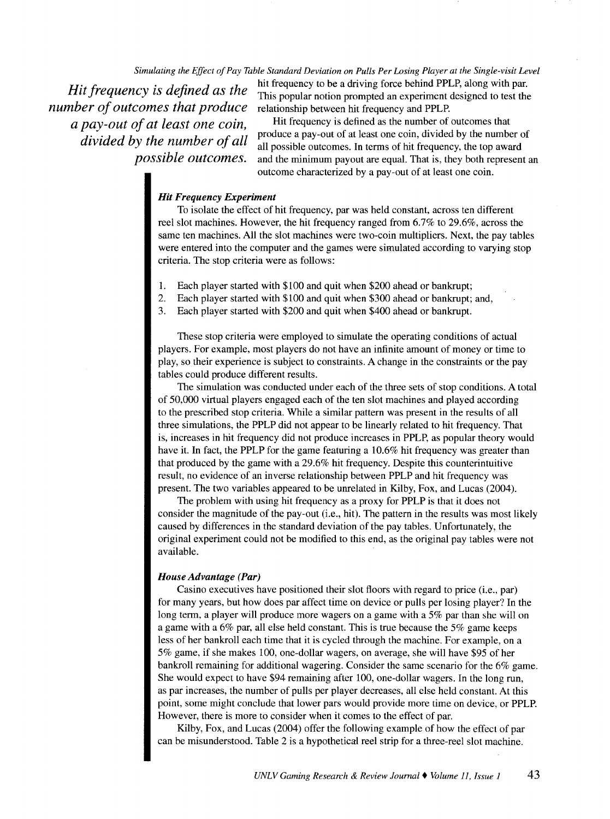## *Simulating the Effect of Pay Table Standard Deviation on Pulls Per Losing Player at the Single-visit Level*

*Hit frequency is defined as the number of outcomes that produce a pay-out of at least one coin, divided by the number of all possible outcomes.* 

hit frequency to be a driving force behind PPLP, along with par. This popular notion prompted an experiment designed to test the relationship between hit frequency and PPLP.

Hit frequency is defined as the number of outcomes that produce a pay-out of at least one coin, divided by the number of all possible outcomes. In terms of hit frequency, the top award and the minimum payout are equal. That is, they both represent an outcome characterized by a pay-out of at least one coin.

# *Hit Frequency Experiment*

To isolate the effect of hit frequency, par was held constant, across ten different reel slot machines. However, the hit frequency ranged from 6.7% to 29.6%, across the same ten machines. All the slot machines were two-coin multipliers. Next, the pay tables were entered into the computer and the games were simulated according to varying stop criteria. The stop criteria were as follows:

- 1. Each player started with \$100 and quit when \$200 ahead or bankrupt;
- 2. Each player started with \$100 and quit when \$300 ahead or bankrupt; and,
- 3. Each player started with \$200 and quit when \$400 ahead or bankrupt.

These stop criteria were employed to simulate the operating conditions of actual players. For example, most players do not have an infinite amount of money or time to play, so their experience is subject to constraints. A change in the constraints or the pay tables could produce different results.

The simulation was conducted under each of the three sets of stop conditions. A total of 50,000 virtual players engaged each of the ten slot machines and played according to the prescribed stop criteria. While a similar pattern was present in the results of all three simulations, the PPLP did not appear to be linearly related to hit frequency. That is, increases in hit frequency did not produce increases in PPLP, as popular theory would have it. In fact, the PPLP for the game featuring a 10.6% hit frequency was greater than that produced by the game with a 29.6% hit frequency. Despite this counterintuitive result, no evidence of an inverse relationship between PPLP and hit frequency was present. The two variables appeared to be unrelated in Kilby, Fox, and Lucas (2004).

The problem with using hit frequency as a proxy for PPLP is that it does not consider the magnitude of the pay-out (i.e., hit). The pattern in the results was most likely caused by differences in the standard deviation of the pay tables. Unfortunately, the original experiment could not be modified to this end, as the original pay tables were not available.

#### *House Advantage (Par)*

Casino executives have positioned their slot floors with regard to price (i.e., par) for many years, but how does par affect time on device or pulls per losing player? In the long term, a player will produce more wagers on a game with a 5% par than she will on a game with a 6% par, all else held constant. This is true because the 5% game keeps less of her bankroll each time that it is cycled through the machine. For example, on a 5% game, if she makes 100, one-dollar wagers, on average, she will have \$95 of her bankroll remaining for additional wagering. Consider the same scenario for the 6% game. She would expect to have \$94 remaining after 100, one-dollar wagers. In the long run, as par increases, the number of pulls per player decreases, all else held constant. At this point, some might conclude that lower pars would provide more time on device, or PPLP. However, there is more to consider when it comes to the effect of par.

Kilby, Fox, and Lucas (2004) offer the following example of how the effect of par can be misunderstood. Table 2 is a hypothetical reel strip for a three-reel slot machine.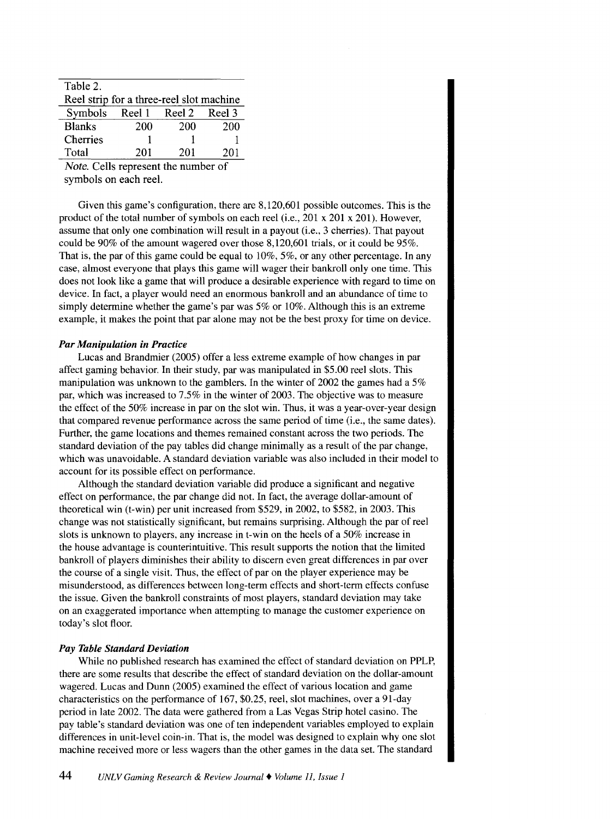| Table 2.                                 |     |     |     |  |  |  |  |
|------------------------------------------|-----|-----|-----|--|--|--|--|
| Reel strip for a three-reel slot machine |     |     |     |  |  |  |  |
| Symbols Reel 1 Reel 2 Reel 3             |     |     |     |  |  |  |  |
| <b>Blanks</b>                            | 200 | 200 | 200 |  |  |  |  |
| Cherries                                 |     |     |     |  |  |  |  |
| Total                                    | 201 | 201 | 201 |  |  |  |  |

*Note.* Cells represent the number of symbols on each reel.

Given this game's configuration, there are 8,120,601 possible outcomes. This is the product of the total number of symbols on each reel (i.e., 201 x 201 x 201). However, assume that only one combination will result in a payout (i.e., 3 cherries). That payout could be 90% of the amount wagered over those 8,120,601 trials, or it could be 95%. That is, the par of this game could be equal to  $10\%$ ,  $5\%$ , or any other percentage. In any case, almost everyone that plays this game will wager their bankroll only one time. This does not look like a game that will produce a desirable experience with regard to time on device. In fact, a player would need an enormous bankroll and an abundance of time to simply determine whether the game's par was 5% or 10%. Although this is an extreme example, it makes the point that par alone may not be the best proxy for time on device.

## *Par Manipulation in Practice*

Lucas and Brandmier (2005) offer a less extreme example of how changes in par affect gaming behavior. In their study, par was manipulated in \$5.00 reel slots. This manipulation was unknown to the gamblers. In the winter of 2002 the games had a 5% par, which was increased to 7.5% in the winter of 2003. The objective was to measure the effect of the 50% increase in par on the slot win. Thus, it was a year-over-year design that compared revenue performance across the same period of time (i.e., the same dates). Further, the game locations and themes remained constant across the two periods. The standard deviation of the pay tables did change minimally as a result of the par change, which was unavoidable. A standard deviation variable was also included in their model to account for its possible effect on performance.

Although the standard deviation variable did produce a significant and negative effect on performance, the par change did not. In fact, the average dollar-amount of theoretical win (t-win) per unit increased from \$529, in 2002, to \$582, in 2003. This change was not statistically significant, but remains surprising. Although the par of reel slots is unknown to players, any increase in t-win on the heels of a 50% increase in the house advantage is counterintuitive. This result supports the notion that the limited bankroll of players diminishes their ability to discern even great differences in par over the course of a single visit. Thus, the effect of par on the player experience may be misunderstood, as differences between long-term effects and short-term effects confuse the issue. Given the bankroll constraints of most players, standard deviation may take on an exaggerated importance when attempting to manage the customer experience on today's slot floor.

#### *Pay Table Standard Deviation*

While no published research has examined the effect of standard deviation on PPLP, there are some results that describe the effect of standard deviation on the dollar-amount wagered. Lucas and Dunn (2005) examined the effect of various location and game characteristics on the performance of 167, \$0.25, reel, slot machines, over a 91-day period in late 2002. The data were gathered from a Las Vegas Strip hotel casino. The pay table's standard deviation was one of ten independent variables employed to explain differences in unit-level coin-in. That is, the model was designed to explain why one slot machine received more or less wagers than the other games in the data set. The standard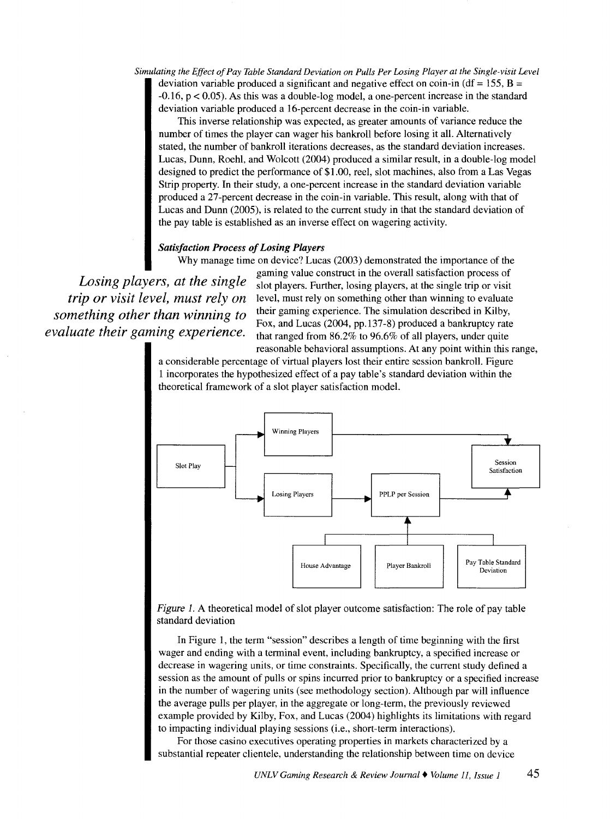*Simulating the Effect of Pay Table Standard Deviation on Pulls Per Losing Player at the Single-visit Level*  deviation variable produced a significant and negative effect on coin-in (df = 155,  $B =$ -0.16, p < 0.05). As this was a double-log model, a one-percent increase in the standard deviation variable produced a 16-percent decrease in the coin-in variable.

This inverse relationship was expected, as greater amounts of variance reduce the number of times the player can wager his bankroll before losing it all. Alternatively stated, the number of bankroll iterations decreases, as the standard deviation increases. Lucas, Dunn, Roehl, and Wolcott (2004) produced a similar result, in a double-log model designed to predict the performance of \$1.00, reel, slot machines, also from a Las Vegas Strip property. In their study, a one-percent increase in the standard deviation variable produced a 27-percent decrease in the coin-in variable. This result, along with that of Lucas and Dunn (2005), is related to the current study in that the standard deviation of the pay table is established as an inverse effect on wagering activity.

# *Satisfaction Process of Losing Players*

Why manage time on device? Lucas (2003) demonstrated the importance of the

*Losing players, at the single trip or visit level, must rely on something other than winning to evaluate their gaming experience.* 

gaming value construct in the overall satisfaction process of slot players. Further, losing players, at the single trip or visit level, must rely on something other than winning to evaluate their gaming experience. The simulation described in Kilby, Fox, and Lucas (2004, pp.137-8) produced a bankruptcy rate that ranged from 86.2% to 96.6% of all players, under quite reasonable behavioral assumptions. At any point within this range,

a considerable percentage of virtual players lost their entire session bankroll. Figure 1 incorporates the hypothesized effect of a pay table's standard deviation within the theoretical framework of a slot player satisfaction model.



Figure 1. A theoretical model of slot player outcome satisfaction: The role of pay table standard deviation

In Figure 1, the term "session" describes a length of time beginning with the first wager and ending with a terminal event, including bankruptcy, a specified increase or decrease in wagering units, or time constraints. Specifically, the current study defined a session as the amount of pulls or spins incurred prior to bankruptcy or a specified increase in the number of wagering units (see methodology section). Although par will influence the average pulls per player, in the aggregate or long-term, the previously reviewed example provided by Kilby, Fox, and Lucas (2004) highlights its limitations with regard to impacting individual playing sessions (i.e., short-term interactions).

For those casino executives operating properties in markets characterized by a substantial repeater clientele, understanding the relationship between time on device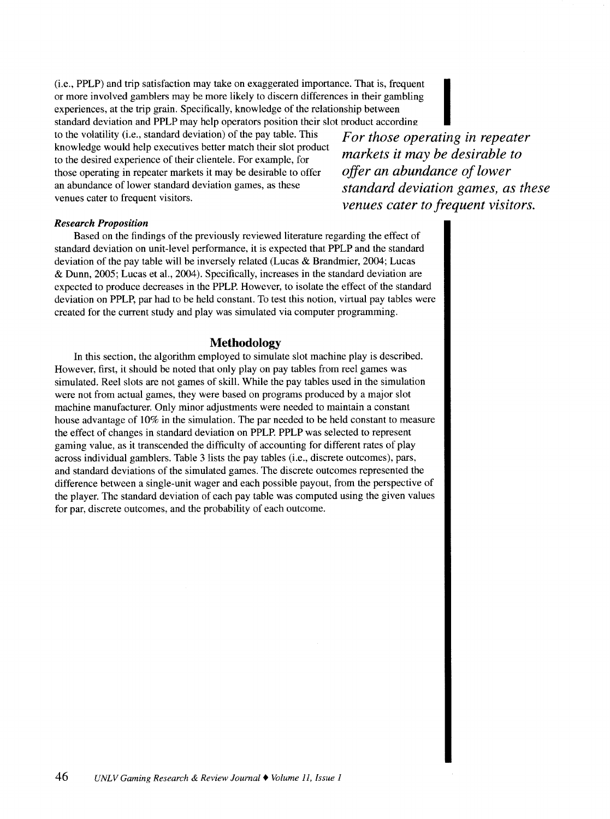(i.e., PPLP) and trip satisfaction may take on exaggerated importance. That is, frequent or more involved gamblers may be more likely to discern differences in their gambling experiences, at the trip grain. Specifically, knowledge of the relationship between

standard deviation and PPLP may help operators position their slot product according  $\blacksquare$ <br>to the volatility (i.e., standard deviation) of the pay table. This  $\blacksquare$  For those operating in repeater to the volatility (i.e., standard deviation) of the pay table. This knowledge would help executives better match their slot product<br>to the desirable to<br>the desirable to<br>the desirable to to the desired experience of their clientele. For example, for *markets it may be desirable to offer* an abundance of lower those operating in repeater markets it may be desirable to offer an abundance of lower standard deviation games, as these *standard deviation games, as these* venues cater to frequent visitors.

*venues cater to frequent visitors.* 

#### *Research Proposition*

Based on the findings of the previously reviewed literature regarding the effect of standard deviation on unit-level performance, it is expected that PPLP and the standard deviation of the pay table will be inversely related (Lucas & Brandmier, 2004; Lucas & Dunn, 2005; Lucas et al., 2004). Specifically, increases in the standard deviation are expected to produce decreases in the PPLP. However, to isolate the effect of the standard deviation on PPLP, par had to be held constant. To test this notion, virtual pay tables were created for the current study and play was simulated via computer programming.

# **Methodology**

In this section, the algorithm employed to simulate slot machine play is described. However, first, it should be noted that only play on pay tables from reel games was simulated. Reel slots are not games of skill. While the pay tables used in the simulation were not from actual games, they were based on programs produced by a major slot machine manufacturer. Only minor adjustments were needed to maintain a constant house advantage of 10% in the simulation. The par needed to be held constant to measure the effect of changes in standard deviation on PPLP. PPLP was selected to represent gaming value, as it transcended the difficulty of accounting for different rates of play across individual gamblers. Table 3 lists the pay tables (i.e., discrete outcomes), pars, and standard deviations of the simulated games. The discrete outcomes represented the difference between a single-unit wager and each possible payout, from the perspective of the player. The standard deviation of each pay table was computed using the given values for par, discrete outcomes, and the probability of each outcome.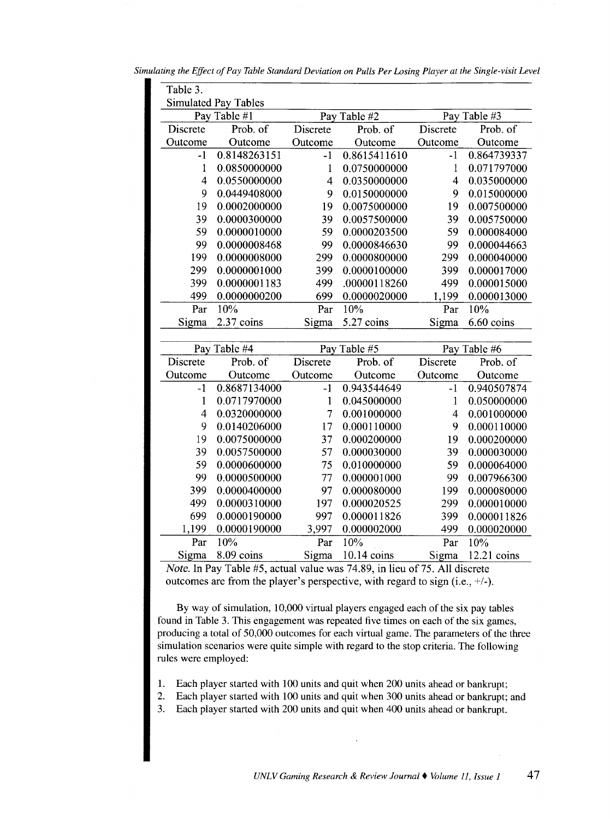| Simulating the Effect of Pay Table Standard Deviation on Pulls Per Losing Player at the Single-visit Level |  |
|------------------------------------------------------------------------------------------------------------|--|
|------------------------------------------------------------------------------------------------------------|--|

| Table 3.       |                             |                          |                 |                |              |  |  |  |
|----------------|-----------------------------|--------------------------|-----------------|----------------|--------------|--|--|--|
|                | <b>Simulated Pay Tables</b> |                          |                 |                |              |  |  |  |
|                | Pay Table #1                | Pay Table #2             |                 | Pay Table #3   |              |  |  |  |
| Discrete       | Prob. of                    | Discrete                 | Prob. of        | Discrete       | Prob. of     |  |  |  |
| Outcome        | Outcome                     | Outcome                  | Outcome         | Outcome        | Outcome      |  |  |  |
| -1             | 0.8148263151                | $-1$                     | 0.8615411610    | $-1$           | 0.864739337  |  |  |  |
| $\mathbf{1}$   | 0.0850000000                | $\mathbf{1}$             | 0.0750000000    | $\mathbf{1}$   | 0.071797000  |  |  |  |
| $\overline{4}$ | 0.0550000000                | $\overline{\mathcal{L}}$ | 0.0350000000    | $\overline{4}$ | 0.035000000  |  |  |  |
| 9              | 0.0449408000                | 9                        | 0.0150000000    | 9              | 0.015000000  |  |  |  |
| 19             | 0.0002000000                | 19                       | 0.0075000000    | 19             | 0.007500000  |  |  |  |
| 39             | 0.0000300000                | 39                       | 0.0057500000    | 39             | 0.005750000  |  |  |  |
| 59             | 0.0000010000                | 59                       | 0.0000203500    | 59             | 0.000084000  |  |  |  |
| 99             | 0.0000008468                | 99                       | 0.0000846630    | 99             | 0.000044663  |  |  |  |
| 199            | 0.0000008000                | 299                      | 0.0000800000    | 299            | 0.000040000  |  |  |  |
| 299            | 0.0000001000                | 399                      | 0.0000100000    | 399            | 0.000017000  |  |  |  |
| 399            | 0.0000001183                | 499                      | .00000118260    | 499            | 0.000015000  |  |  |  |
| 499            | 0.0000000200                | 699                      | 0.0000020000    | 1,199          | 0.000013000  |  |  |  |
| Par            | 10%                         | Par                      | 10%             | Par            | 10%          |  |  |  |
| Sigma          | 2.37 coins                  | Sigma                    | 5.27 coins      | Sigma          | 6.60 coins   |  |  |  |
|                |                             |                          |                 |                |              |  |  |  |
|                | Pay Table #4                |                          | Table #5<br>Pay |                | Pay Table #6 |  |  |  |
| Discrete       | Prob. of                    | Discrete                 | Prob. of        | Discrete       | Prob. of     |  |  |  |
| Outcome        | Outcome                     | Outcome                  | Outcome         | Outcome        | Outcome      |  |  |  |
| $-1$           | 0.8687134000                | $-1$                     | 0.943544649     | $-1$           | 0.940507874  |  |  |  |
| $\mathbf{1}$   | 0.0717970000                | $\mathbf{1}$             | 0.045000000     | $\mathbf{1}$   | 0.050000000  |  |  |  |
| 4              | 0.0320000000                | $\overline{7}$           | 0.001000000     | 4              | 0.001000000  |  |  |  |
| 9              | 0.0140206000                | 17                       | 0.000110000     | 9              | 0.000110000  |  |  |  |
| 19             | 0.0075000000                | 37                       | 0.000200000     | 19             | 0.000200000  |  |  |  |
| 39             | 0.0057500000                | 57                       | 0.000030000     | 39             | 0.000030000  |  |  |  |
| 59             | 0.0000600000                | 75                       | 0.010000000     | 59             | 0.000064000  |  |  |  |
| 99             | 0.0000500000                | 77                       | 0.000001000     | 99             | 0.007966300  |  |  |  |
| 399            | 0.0000400000                | 97                       | 0.000080000     | 199            | 0.000080000  |  |  |  |
| 499            | 0.0000310000                | 197                      | 0.000020525     | 299            | 0.000010000  |  |  |  |
| 699            | 0.0000190000                | 997                      | 0.000011826     | 399            | 0.000011826  |  |  |  |
| 1,199          | 0.0000190000                | 3,997                    | 0.000002000     | 499            | 0.000020000  |  |  |  |
| Par            | 10%                         | Par                      | 10%             | Par            | 10%          |  |  |  |
| Sigma          | 8.09 coins                  | Sigma                    |                 |                |              |  |  |  |

*Note.* In Pay Table #5, actual value was 74.89, in lieu of 75. All discrete outcomes are from the player's perspective, with regard to sign (i.e.,  $+/-$ ).

By way of simulation, 10,000 virtual players engaged each of the six pay tables found in Table 3. This engagement was repeated five times on each of the six games, producing a total of 50,000 outcomes for each virtual game. The parameters of the three simulation scenarios were quite simple with regard to the stop criteria. The following rules were employed:

- 1. Each player started with 100 units and quit when 200 units ahead or bankrupt;
- 2. Each player started with 100 units and quit when 300 units ahead or bankrupt; and
- 3. Each player started with 200 units and quit when 400 units ahead or bankrupt.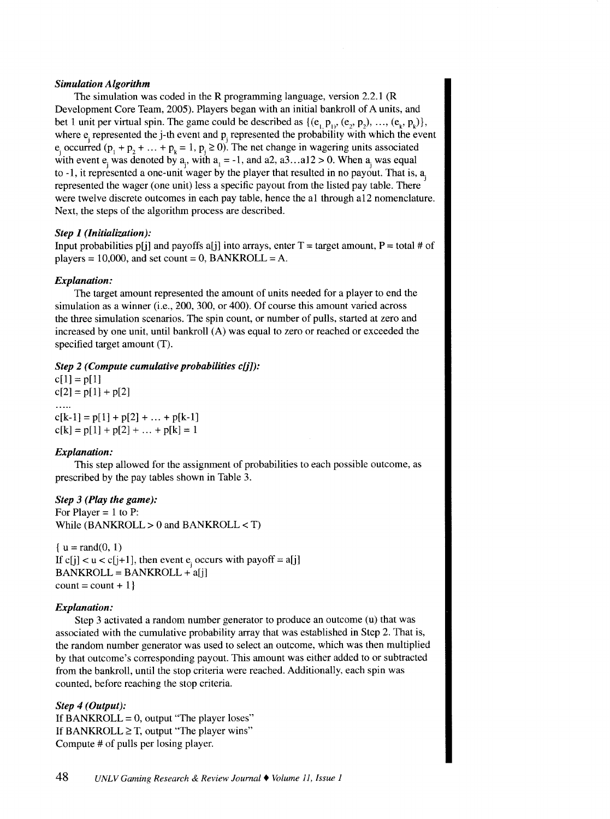#### *Simulation Algorithm*

The simulation was coded in the R programming language, version 2.2.1 (R Development Core Team, 2005). Players began with an initial bankroll of A units, and bet 1 unit per virtual spin. The game could be described as  $\{ (e_1, p_1), (e_2, p_2), ..., (e_k, p_k) \},\$ where  $e_i$  represented the j-th event and  $p_i$  represented the probability with which the event e<sub>i</sub> occurred (p<sub>1</sub> + p<sub>2</sub> + ... + p<sub>k</sub> = 1, p<sub>i</sub> ≥ 0). The net change in wagering units associated with event e, was denoted by a,, with  $a_1 = -1$ , and a2, a3... al2 > 0. When  $a_1$  was equal to -1, it represented a one-unit wager by the player that resulted in no payout. That is,  $a_j$ represented the wager (one unit) less a specific payout from the listed pay table. There were twelve discrete outcomes in each pay table, hence the a1 through a12 nomenclature. Next, the steps of the algorithm process are described.

#### *Step 1 (Initialization):*

Input probabilities p[j] and payoffs a[j] into arrays, enter  $T =$  target amount,  $P =$  total # of players = 10,000, and set count = 0, BANKROLL = A.

#### *Explanation:*

The target amount represented the amount of units needed for a player to end the simulation as a winner (i.e., 200, 300, or 400). Of course this amount varied across the three simulation scenarios. The spin count, or number of pulls, started at zero and increased by one unit, until bankroll (A) was equal to zero or reached or exceeded the specified target amount (T).

*Step 2 (Compute cumulative probabilities c[j]):* 

 $c[1] = p[1]$  $c[2] = p[1] + p[2]$ 

 $c[k-1] = p[1] + p[2] + ... + p[k-1]$  $c[k] = p[1] + p[2] + ... + p[k] = 1$ 

#### *Explanation:*

 $\ldots$ 

This step allowed for the assignment of probabilities to each possible outcome, as prescribed by the pay tables shown in Table 3.

#### *Step 3 (Play the game):*

For Player  $= 1$  to P: While  $(BANKROLL > 0$  and  $BANKROLL < T$ )

 $\{u = \text{rand}(0, 1)\}$ If c[j]  $<$  u  $<$  c[j+1], then event e<sub>i</sub> occurs with payoff = a[j] BANKROLL= BANKROLL+ a[j]  $count = count + 1$ 

## *Explanation:*

Step 3 activated a random number generator to produce an outcome (u) that was associated with the cumulative probability array that was established in Step 2. That is, the random number generator was used to select an outcome, which was then multiplied by that outcome's corresponding payout. This amount was either added to or subtracted from the bankroll, until the stop criteria were reached. Additionally, each spin was counted, before reaching the stop criteria.

## *Step 4 (Output):*

If BANKROLL =  $0$ , output "The player loses" If BANKROLL  $\geq$  T, output "The player wins" Compute # of pulls per losing player.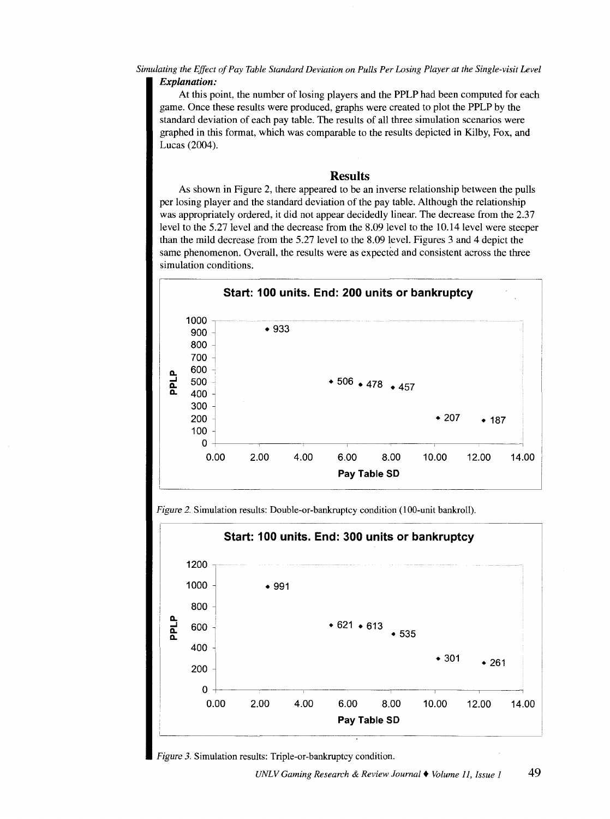*Simulating the Effect of Pay Table Standard Deviation on Pulls Per Losing Player at the Single-visit Level Explanation:* 

At this point, the number of losing players and the PPLP had been computed for each game. Once these results were produced, graphs were created to plot the PPLP by the standard deviation of each pay table. The results of all three simulation scenarios were graphed in this format, which was comparable to the results depicted in Kilby, Fox, and Lucas (2004).

## **Results**

As shown in Figure 2, there appeared to be an inverse relationship between the pulls per losing player and the standard deviation of the pay table. Although the relationship was appropriately ordered, it did not appear decidedly linear. The decrease from the 2.37 level to the 5.27 level and the decrease from the 8.09 level to the 10.14 level were steeper than the mild decrease from the 5.27 level to the 8.09 level. Figures 3 and 4 depict the same phenomenon. Overall, the results were as expected and consistent across the three simulation conditions.



*Figure 2.* Simulation results: Double-or-bankruptcy condition (100-unit bankroll).

![](_page_8_Figure_6.jpeg)

![](_page_8_Figure_7.jpeg)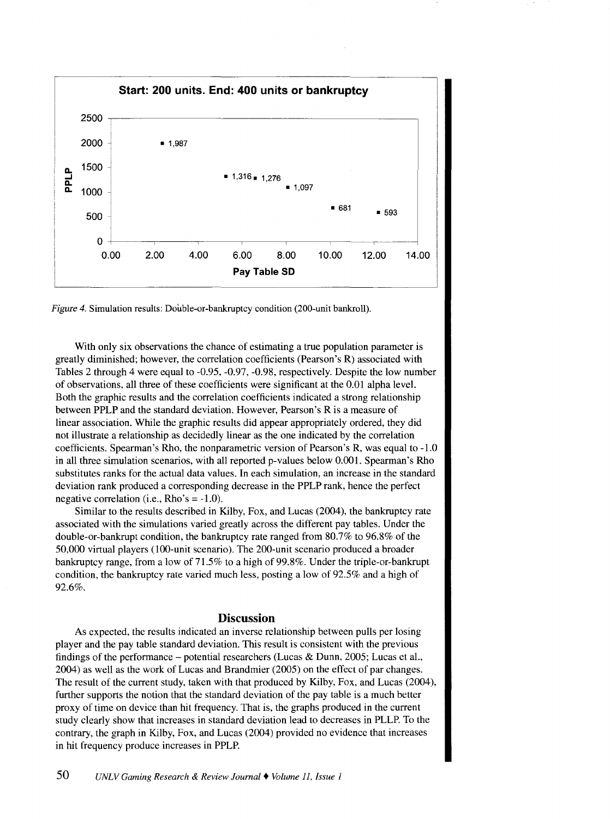![](_page_9_Figure_0.jpeg)

*Figure 4.* Simulation results: Double-or-bankruptcy condition (200-unit bankroll).

With only six observations the chance of estimating a true population parameter is greatly diminished; however, the correlation coefficients (Pearson's R) associated with Tables 2 through 4 were equal to -0.95, -0.97, -0.98, respectively. Despite the low number of observations, all three of these coefficients were significant at the 0.01 alpha level. Both the graphic results and the correlation coefficients indicated a strong relationship between PPLP and the standard deviation. However, Pearson's R is a measure of linear association. While the graphic results did appear appropriately ordered, they did not illustrate a relationship as decidedly linear as the one indicated by the correlation coefficients. Spearman's Rho, the nonparametric version of Pearson's R, was equal to -1.0 in all three simulation scenarios, with all reported p-values below 0.001. Spearman's Rho substitutes ranks for the actual data values. In each simulation, an increase in the standard deviation rank produced a corresponding decrease in the PPLP rank, hence the perfect negative correlation (i.e., Rho's  $= -1.0$ ).

Similar to the results described in Kilby, Fox, and Lucas (2004 ), the bankruptcy rate associated with the simulations varied greatly across the different pay tables. Under the double-or-bankrupt condition, the bankruptcy rate ranged from 80.7% to 96.8% of the 50,000 virtual players (100-unit scenario). The 200-unit scenario produced a broader bankruptcy range, from a low of 71.5% to a high of 99.8%. Under the triple-or-bankrupt condition, the bankruptcy rate varied much less, posting a low of 92.5% and a high of 92.6%.

# **Discussion**

As expected, the results indicated an inverse relationship between pulls per losing player and the pay table standard deviation. This result is consistent with the previous findings of the performance – potential researchers (Lucas & Dunn, 2005; Lucas et al., 2004) as well as the work of Lucas and Brandmier (2005) on the effect of par changes. The result of the current study, taken with that produced by Kilby, Fox, and Lucas (2004), further supports the notion that the standard deviation of the pay table is a much better proxy of time on device than hit frequency. That is, the graphs produced in the current study clearly show that increases in standard deviation lead to decreases in PLLP. To the contrary, the graph in Kilby, Fox, and Lucas (2004) provided no evidence that increases in hit frequency produce increases in PPLP.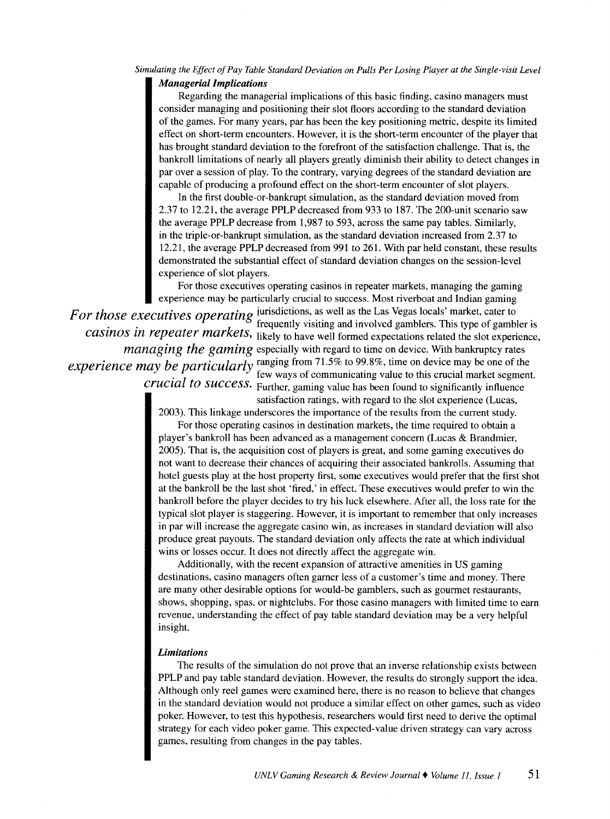# *Simulating the Effect of Pay Table Standard Deviation on Pulls Per Losing Player at the Single-visit Level*

# *Managerial Implications*

Regarding the managerial implications of this basic finding, casino managers must consider managing and positioning their slot floors according to the standard deviation of the games. For many years, par has been the key positioning metric, despite its limited effect on short-term encounters. However, it is the short-term encounter of the player that has brought standard deviation to the forefront of the satisfaction challenge. That is, the bankroll limitations of nearly all players greatly diminish their ability to detect changes in par over a session of play. To the contrary, varying degrees of the standard deviation are capable of producing a profound effect on the short-term encounter of slot players.

In the first double-or-bankrupt simulation, as the standard deviation moved from 2.37 to 12.21, the average PPLP decreased from 933 to 187. The 200-unit scenario saw the average PPLP decrease from 1,987 to 593, across the same pay tables. Similarly, in the triple-or-bankrupt simulation, as the standard deviation increased from 2.37 to 12.21, the average PPLP decreased from 991 to 261. With par held constant, these results demonstrated the substantial effect of standard deviation changes on the session-level experience of slot players.

For those executives operating casinos in repeater markets, managing the gaming experience may be particularly crucial to success. Most riverboat and Indian gaming

*For those executives operating* jurisdictions, as well as the Las Vegas locals' market, cater to  $\frac{1}{2}$ .  $\frac{1}{2}$  frequently visiting and involved gamblers. This type of gambler is *casinos in repeater markets*, likely to have well formed expectations related the slot experience, *managing the gaming* especially with regard to time on device. With bankruptcy rates *experience may be particularly* ranging from 71.5% to 99.8%, time on device may be one of the . few ways of communicating value to this crucial market segment. *crucial to success.* Further, gaming value has been found to significantly influence

satisfaction ratings, with regard to the slot experience (Lucas,

2003). This linkage underscores the importance of the results from the current study.

For those operating casinos in destination markets, the time required to obtain a player's bankroll has been advanced as a management concern (Lucas & Brandmier, 2005). That is, the acquisition cost of players is great, and some gaming executives do not want to decrease their chances of acquiring their associated bankrolls. Assuming that hotel guests play at the host property first, some executives would prefer that the first shot at the bankroll be the last shot 'fired,' in effect. These executives would prefer to win the bankroll before the player decides to try his luck elsewhere. After all, the loss rate for the typical slot player is staggering. However, it is important to remember that only increases in par will increase the aggregate casino win, as increases in standard deviation will also produce great payouts. The standard deviation only affects the rate at which individual wins or losses occur. It does not directly affect the aggregate win.

Additionally, with the recent expansion of attractive amenities in US gaming destinations, casino managers often garner less of a customer's time and money. There are many other desirable options for would-be gamblers, such as gourmet restaurants, shows, shopping, spas, or nightclubs. For those casino managers with limited time to earn revenue, understanding the effect of pay table standard deviation may be a very helpful insight.

## *Limitations*

The results of the simulation do not prove that an inverse relationship exists between PPLP and pay table standard deviation. However, the results do strongly support the idea. Although only reel games were examined here, there is no reason to believe that changes in the standard deviation would not produce a similar effect on other games, such as video poker. However, to test this hypothesis, researchers would first need to derive the optimal strategy for each video poker game. This expected-value driven strategy can vary across games, resulting from changes in the pay tables.